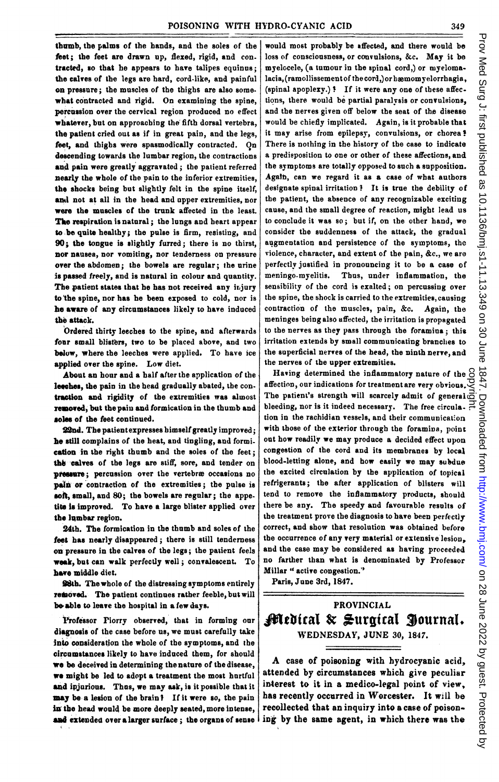tbumb, the palms of the hands, and the soles of the feet; the feet are drawn up, flexed, rigid, and con. tracted, so that he appears to have talipes equinus; the calves of tbe legs are bard, cord-like, and painful oan pressure; the muscles of the thighs are also some. what contracted and rigid. On examining the spine, percussion over the cervical region produced no effect whatever, but on approaching the fifth dorsal vertebra, the patient cried out as if in great pain, and the legs, feet, and thigbs were spasmodically contracted. On descending towards the lumbar region, the contractions and pain were greatly aggravated; the patient referred nearly the whole of the pain to the inferior extremities. the shocks being but slightly felt in the spine itself, and not at all in the head and upper extremities, nor were the muscles of the trunk affected in the least. The respiration is natural; the lungs and heart appear to be quite healthy; the pulse is firm, resisting, and 90; the tongue is slightly furred; there is no thirst, nor nausea, nor vomiting, nor tenderness on pressure over the abdomen; the bowels are regular; the urine is passed freely, and is natural in colour and quantity. The patient states that he has not received any injury to 'the spine, nor has he been exposed to cold, nor is he aware of any circumstances likely to have induced the attack.

Ordered thirty leeches to the spine, and afterwards four small blisters, two to be placed above, and two below, where the leeches were applied. To have ice applied over the spine. Low diet.

About an hour and a half after the application of the lecches, the pain in the head gradually abated, the contraction and rigidity of the extremities was almost removed, but the pain and formication in the thumb and soles of the feet continued.

92nd. The patientexpresses bimself greatly improved; he still complains of the heat, and tingling, and formi. cation in the right thumb and the soles of the feet; the calves of the legs are stiff, sore, and tender on pressure; percussion over the vertebræ occasions no pain or contraction of the extremities; the pulse is soft, small, and 80; the bowels are regular; the appe. tite is improved. To have a large blister applied over the lumbar region.

24th. The formication in the thumb and soles of the feet has nearly disappeared; there is still tenderness on pressure in the calves of the legs; the patient feels week, but can walk perfectly well; convalescent. To have middle diet.

98th. The whole of the distressing symptoms entirely removed. The patient continues rather feeble, but will be able to leave the hospital in a few days.

Professor Piorry observed, that in forming our diagnosis of the case before us, we must carefully take into consideration the wbole of the symptoms, and the circumstances likely to have induced them, for should we be deceived in determining the nature of the disease, we might be led to adopt a treatment the most hurtful and ipjurious. Thus, we may ask, is it possible that it may be a lesion of the brain? If it were so, the pain in the head would be more deeply seated, more intense, and extended over a larger surface; the organs of sense would most probably be affected, and there would be loss of consciousness, or convulsions, &c. May it be myelocele, (a tumour in the spinal cord,) or myelomalacia, (ramollissement of the cord,) or hæmomyelorrhagia, (spinal apoplexy.)! If it were any one of these affections, there would be partial paralvsis or convulsions, and the nerves given off below the seat of the disease would be chiefly implicated. Again, is it probable that it may arise from epilepsy, convulsions, or chorea' There is nothing in the history of the case to indicate a predisposition to one or other of these affections, and the symptoms are totally opposed to such a supposition. Agaln, can we regard it as a case of what authors designate spinal irritation? It is true the debility of the patient, the absence of any recognizable exciting cause, and the small degree of reaction, might lead us to conclude it was so; but if, on the other hand, we consider the suddenness of the attack, the gradual augmentation and persistence of the symptoms, the violence, character, and extent of the pain, &c., we are perfectly justified in pronouncing it to be a case of meningo-myelitis. Tbus, under inflammation, the sensibility of the cord is exalted; on percussing over the spine, the shock is carried to the extremities, causing contraction of the muscles, pain, &c. Again, the meninges being also affected, the irritation is propagated to the nerves as they pass through the foramina; this irritation extends by small communicating branches to the superficial nerves of the head, the ninth nerve, and the nerves of tbe upper extremities.

Having determined the inflammatory nature of the  $\odot$ affection, our indications for treatment are very obvious. The patient's strength will scarcely admit of general bleeding, nor is it indeed necessary. The free circula. tion in the rachidian vessels, and their communication with those of the exterior througb the foramina, point out how readily we may produce a decided effect upon congestion of the cord and its membranes by local blood-letting alone, and how easily we may subdue the excited circulation by the application of topical refrigerants; the after application of blisters will tend to remove the inflammatory products, should there be any. The speedy and favourable results of the treatment prove the diagnosis to have been perfectly correct, and show that resolution was obtained before the occurrence of any very material or extensive lesion, and the case may be considered as having proceeded no farther than what is denominated by Professor Millar " active congestion." copyright.

Paris, June 3rd, 1847.

## PROVINCIAL JJ^1tbital & \*uritcal Siournai. WEDNESDAY, JUNE 30, 1847.

A case of poisoning with hydrocyanic acid, attended by circumstances which give peculiar interest to it in a medico-legal point of view, has recently occurred in Worcester. It will be recollected that an inquiry into a case of poison. ing by the same agent, in which there was the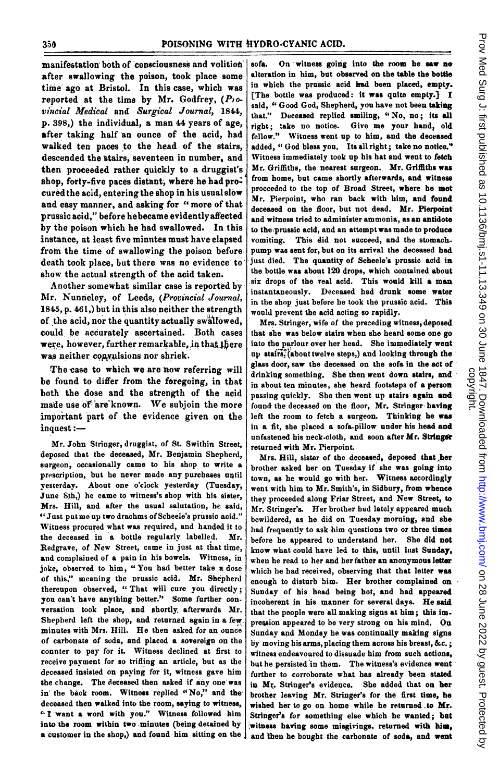manifestation both of consciousness and volition after swallowing the poison, took place some time ago at Bristol. In this case, which was reported at the time by Mr. Godfrey,  $(P_1 \circ P_2)$ vincial Medical and Surgical Journal, 1844, p. 398,) the individual, a man 44 years of age, after taking half an ounce of the acid, had Walked ten paces to the head of the stairs, descended the stairs, seventeen in number, and then proceeded rather quickly to a druggist's shop, forty-five paces distant, where he had procured the acid, entering the shop in his usual slow and easy manner, and asking for "more of that prussic acid," before hebecame evidentlyaffected by the poison which he had swallowed. In this instance, at least five minutes must have elapsed from the time of swallowing the poison before. death took place, but there was no evidence to' show the actual strength of the acid taken.

Another somewhat similar case is reported by Mr. Nunneley, of Leeds, (Provincial Journal, 1845, p. 461,) but in this also neither the strength of the acid, nor the quantity actually swallowed, could be accurately ascertained. Both cases were, however, further remarkable, in that there was neither convulsions nor shriek.

The case to which we are now referring will be found to differ from the foregoing, in that both the dose and the strength of the acid made use of are known. We subjoin the more important part of the evidence given on the inquest :-

Mr. John Stringer, druggist, of St. Swithin Street, deposed that the deceased, Mr. Benjamin Shepberd, surgeon, occasionally came to his shop to write a prescription, but he never made any purchases until yesterday. About one o'clock yesterday (Tuesday, June Sth,) he came to witness's shop with his sister, Mrs. Hill, and after the usual salutation, he said, " Just put me up two drachms of Scheele's prussic acid." Witness procured what was required, and handed it to the deceased in a bottle regularly labelled. Mr. Redgrave, of New Street, came in just at that time, and complained of a pain in his bowels. Witness, in joke, observed to him, "You bad better take a dose of this," meaning the prussic acid. Mr. Shepherd thereupon observed, "That will cure you directly; you can't have anything better." Some further con-'rersation took place, and shortly. afterwards Mr. Shepherd left the shop, and returned again in a few, minutes with Mrs. Hill. He then asked for an ounce of carbonate of soda, and placed a sovereign on the connter to pay for it. Witness declined at first to receive payment for so trifling an article, but as the deceased insisted on paying for it, witness gave him the change. The deceased then asked if any one was in' the back room. Witness replied "No," and the deceased then walked into the room, saying to witness, " <sup>I</sup> want <sup>a</sup> word with you." Witness followed him into the room within two minutes (being detained by a customer in the shop,) and found him sitting on the

sofa. On witness going into the room he saw no alteration in him, but observed on the table the bottle in which the prassic acid had been placed, empty. [The bottle was produced: it was quite empty.) I said, " Good God, Shepherd, you have not been taking that." Deceased replied smiling, "No, no; its all right; take no notice. Give me your band, old fellow." Witness went up to him, and the deceased added, "God bless you. Its all right; take no notice." Witness immediately took up his hat and went to fetch Mr. Griffiths, the nearest surgeon. Mr. Griffiths was from home, but came shortly afterwards, and witness proceeded to the top of Broad Street, where be met Mr. Pierpoint, who ran back with him, and found deceased on the floor, but not dead. Mr. Pierpoint and witness tried to administer ammonia, as an antidote to the prussic acid, and an attempt was made to produce vomiting. This did not succeed, and the stomach. pump was sent for, but on its arrival the deceased bad just died. The quantity of Scbeele's prussic acid in the bottle was about 120 drops, which contained about six drops of the real acid. This would kill a man instantaneously. Deceased had drunk some water in the shop just before he took the prussic acid. This would prevent the acid acting so rapidly.

Mrs. Stringer, wife of the preceding witness, deposed that she was below stairs when she heard some one go into the parlour over her head. She immediately went up stairs`(abouttwelve steps,) and looking through the glass door, saw the deceased on the sofa in the act of drinking something. She then went down stairs, and in about ten minutes, she heard footsteps of a person passing quickly. She then went up stairs again and found the deceased on the floor, Mr. Stringer having left the room to fetch a surgeon. Thinking be was in a fit, she placed a sofa-pillow under his head and unfastened his neck-cloth, and soon after Mr. Stringer returned with Mr. Pierpoint.

Mrs. Hill, sister of the deceased, deposed that her brother asked her on Tuesday if she was going into town, as he would go with her. Witness accordingly went with him to Mr. Smith's, in Sidbury, from whence they proceeded along Friar Street, and New Street, to Mr. Stringer's. Her brother had lately appeared much bewildered, as he did on Tuesdav morning, and sbe had frequently to ask him questions two or tbree times before he appeared to understand her. She did not know what could have led to this, until last Sunday, when he read to her and her father an anonymous letter which he had received, observing that that letter was enough to disturb him. Her brother complained on Sunday of his head being hot, and had appeared incoherent in his manner for several days. He said that the people were all making signs at him; this im. pression appeared to be very strong on his mind. Oa Sundav and Monday he was continually making signs by moving his arms, placing them across his breast, &c.; witness endeavoured to dissuade him from such actions, but he persisted 'in them. The witness's evidence went further to corroborate wbat has already been stated in Mr. Stringer's evidence. She added that on her brother leaving Mr. Stringer's for the first time, he wished her to go on home while he returned to Mr. Stringer's for something else which he wanted; bat witness having some misgivings, returned with him, and then he bought the carbonate of soda, and went